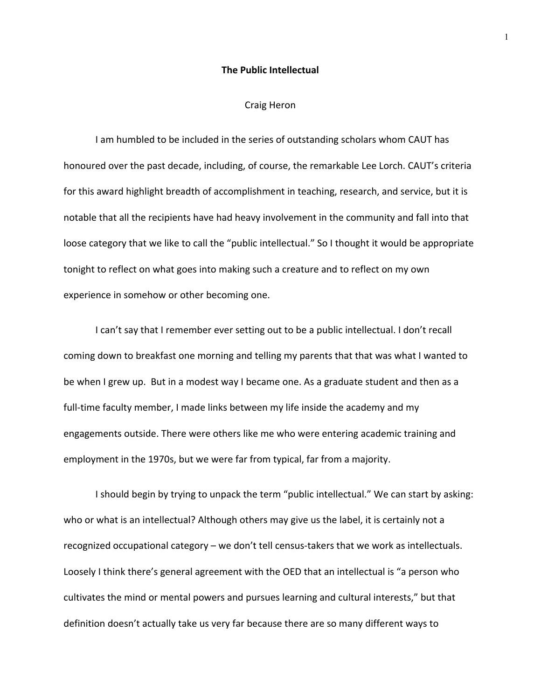## **The Public Intellectual**

## Craig Heron

I am humbled to be included in the series of outstanding scholars whom CAUT has honoured over the past decade, including, of course, the remarkable Lee Lorch. CAUT's criteria for this award highlight breadth of accomplishment in teaching, research, and service, but it is notable that all the recipients have had heavy involvement in the community and fall into that loose category that we like to call the "public intellectual." So I thought it would be appropriate tonight to reflect on what goes into making such a creature and to reflect on my own experience in somehow or other becoming one.

I can't say that I remember ever setting out to be a public intellectual. I don't recall coming down to breakfast one morning and telling my parents that that was what I wanted to be when I grew up. But in a modest way I became one. As a graduate student and then as a full-time faculty member, I made links between my life inside the academy and my engagements outside. There were others like me who were entering academic training and employment in the 1970s, but we were far from typical, far from a majority.

I should begin by trying to unpack the term "public intellectual." We can start by asking: who or what is an intellectual? Although others may give us the label, it is certainly not a recognized occupational category – we don't tell census‐takers that we work as intellectuals. Loosely I think there's general agreement with the OED that an intellectual is "a person who cultivates the mind or mental powers and pursues learning and cultural interests," but that definition doesn't actually take us very far because there are so many different ways to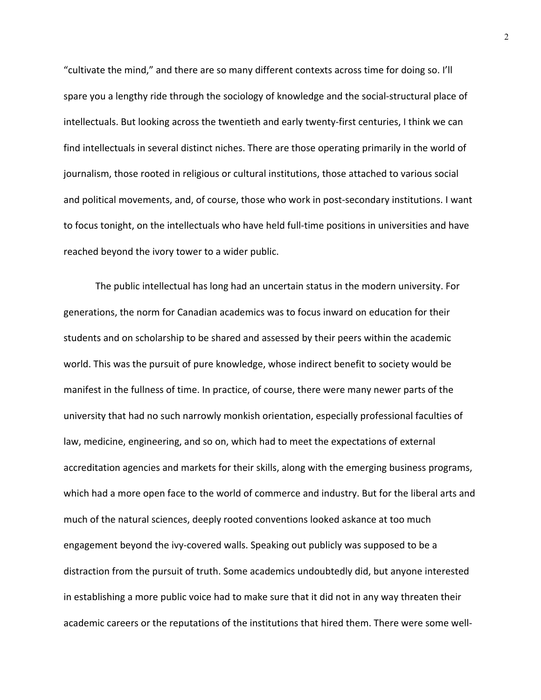"cultivate the mind," and there are so many different contexts across time for doing so. I'll spare you a lengthy ride through the sociology of knowledge and the social-structural place of intellectuals. But looking across the twentieth and early twenty‐first centuries, I think we can find intellectuals in several distinct niches. There are those operating primarily in the world of journalism, those rooted in religious or cultural institutions, those attached to various social and political movements, and, of course, those who work in post‐secondary institutions. I want to focus tonight, on the intellectuals who have held full‐time positions in universities and have reached beyond the ivory tower to a wider public.

The public intellectual has long had an uncertain status in the modern university. For generations, the norm for Canadian academics was to focus inward on education for their students and on scholarship to be shared and assessed by their peers within the academic world. This was the pursuit of pure knowledge, whose indirect benefit to society would be manifest in the fullness of time. In practice, of course, there were many newer parts of the university that had no such narrowly monkish orientation, especially professional faculties of law, medicine, engineering, and so on, which had to meet the expectations of external accreditation agencies and markets for their skills, along with the emerging business programs, which had a more open face to the world of commerce and industry. But for the liberal arts and much of the natural sciences, deeply rooted conventions looked askance at too much engagement beyond the ivy‐covered walls. Speaking out publicly was supposed to be a distraction from the pursuit of truth. Some academics undoubtedly did, but anyone interested in establishing a more public voice had to make sure that it did not in any way threaten their academic careers or the reputations of the institutions that hired them. There were some well‐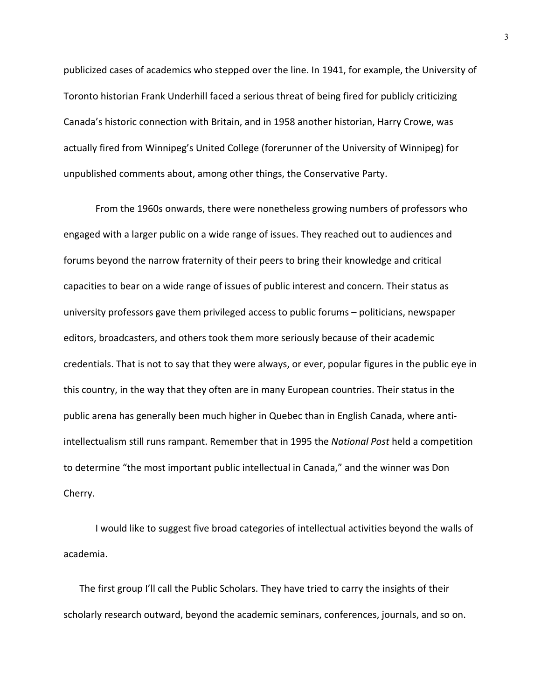publicized cases of academics who stepped over the line. In 1941, for example, the University of Toronto historian Frank Underhill faced a serious threat of being fired for publicly criticizing Canada's historic connection with Britain, and in 1958 another historian, Harry Crowe, was actually fired from Winnipeg's United College (forerunner of the University of Winnipeg) for unpublished comments about, among other things, the Conservative Party.

From the 1960s onwards, there were nonetheless growing numbers of professors who engaged with a larger public on a wide range of issues. They reached out to audiences and forums beyond the narrow fraternity of their peers to bring their knowledge and critical capacities to bear on a wide range of issues of public interest and concern. Their status as university professors gave them privileged access to public forums – politicians, newspaper editors, broadcasters, and others took them more seriously because of their academic credentials. That is not to say that they were always, or ever, popular figures in the public eye in this country, in the way that they often are in many European countries. Their status in the public arena has generally been much higher in Quebec than in English Canada, where anti‐ intellectualism still runs rampant. Remember that in 1995 the *National Post* held a competition to determine "the most important public intellectual in Canada," and the winner was Don Cherry.

I would like to suggest five broad categories of intellectual activities beyond the walls of academia.

The first group I'll call the Public Scholars. They have tried to carry the insights of their scholarly research outward, beyond the academic seminars, conferences, journals, and so on.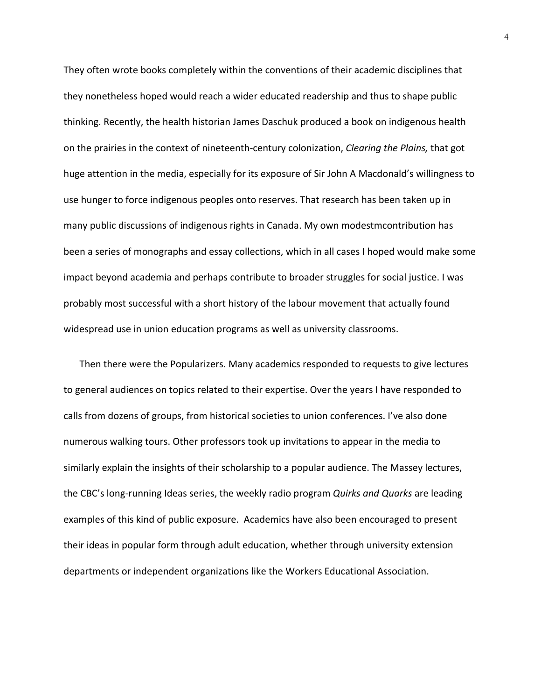They often wrote books completely within the conventions of their academic disciplines that they nonetheless hoped would reach a wider educated readership and thus to shape public thinking. Recently, the health historian James Daschuk produced a book on indigenous health on the prairies in the context of nineteenth‐century colonization, *Clearing the Plains,* that got huge attention in the media, especially for its exposure of Sir John A Macdonald's willingness to use hunger to force indigenous peoples onto reserves. That research has been taken up in many public discussions of indigenous rights in Canada. My own modestmcontribution has been a series of monographs and essay collections, which in all cases I hoped would make some impact beyond academia and perhaps contribute to broader struggles for social justice. I was probably most successful with a short history of the labour movement that actually found widespread use in union education programs as well as university classrooms.

Then there were the Popularizers. Many academics responded to requests to give lectures to general audiences on topics related to their expertise. Over the years I have responded to calls from dozens of groups, from historical societies to union conferences. I've also done numerous walking tours. Other professors took up invitations to appear in the media to similarly explain the insights of their scholarship to a popular audience. The Massey lectures, the CBC's long‐running Ideas series, the weekly radio program *Quirks and Quarks* are leading examples of this kind of public exposure. Academics have also been encouraged to present their ideas in popular form through adult education, whether through university extension departments or independent organizations like the Workers Educational Association.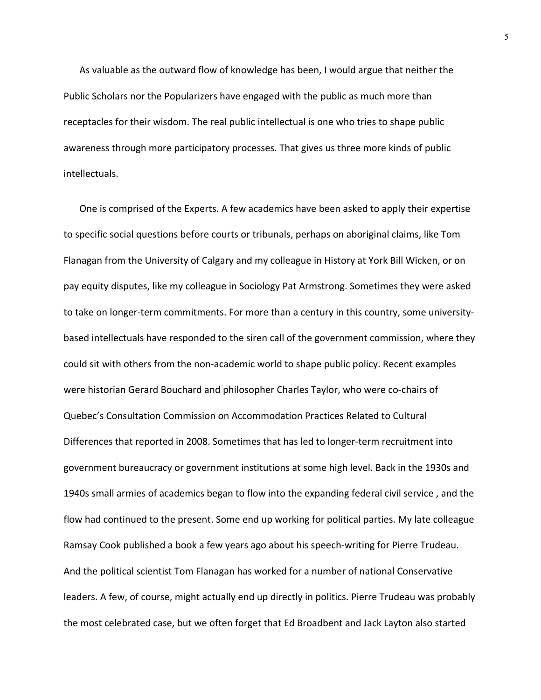As valuable as the outward flow of knowledge has been, I would argue that neither the Public Scholars nor the Popularizers have engaged with the public as much more than receptacles for their wisdom. The real public intellectual is one who tries to shape public awareness through more participatory processes. That gives us three more kinds of public intellectuals.

One is comprised of the Experts. A few academics have been asked to apply their expertise to specific social questions before courts or tribunals, perhaps on aboriginal claims, like Tom Flanagan from the University of Calgary and my colleague in History at York Bill Wicken, or on pay equity disputes, like my colleague in Sociology Pat Armstrong. Sometimes they were asked to take on longer-term commitments. For more than a century in this country, some universitybased intellectuals have responded to the siren call of the government commission, where they could sit with others from the non‐academic world to shape public policy. Recent examples were historian Gerard Bouchard and philosopher Charles Taylor, who were co-chairs of Quebec's Consultation Commission on Accommodation Practices Related to Cultural Differences that reported in 2008. Sometimes that has led to longer‐term recruitment into government bureaucracy or government institutions at some high level. Back in the 1930s and 1940s small armies of academics began to flow into the expanding federal civil service , and the flow had continued to the present. Some end up working for political parties. My late colleague Ramsay Cook published a book a few years ago about his speech‐writing for Pierre Trudeau. And the political scientist Tom Flanagan has worked for a number of national Conservative leaders. A few, of course, might actually end up directly in politics. Pierre Trudeau was probably the most celebrated case, but we often forget that Ed Broadbent and Jack Layton also started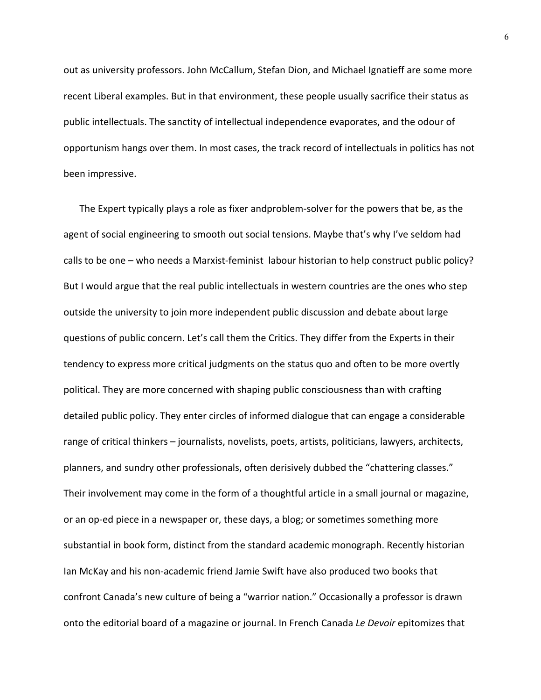out as university professors. John McCallum, Stefan Dion, and Michael Ignatieff are some more recent Liberal examples. But in that environment, these people usually sacrifice their status as public intellectuals. The sanctity of intellectual independence evaporates, and the odour of opportunism hangs over them. In most cases, the track record of intellectuals in politics has not been impressive.

The Expert typically plays a role as fixer andproblem‐solver for the powers that be, as the agent of social engineering to smooth out social tensions. Maybe that's why I've seldom had calls to be one – who needs a Marxist-feminist labour historian to help construct public policy? But I would argue that the real public intellectuals in western countries are the ones who step outside the university to join more independent public discussion and debate about large questions of public concern. Let's call them the Critics. They differ from the Experts in their tendency to express more critical judgments on the status quo and often to be more overtly political. They are more concerned with shaping public consciousness than with crafting detailed public policy. They enter circles of informed dialogue that can engage a considerable range of critical thinkers – journalists, novelists, poets, artists, politicians, lawyers, architects, planners, and sundry other professionals, often derisively dubbed the "chattering classes." Their involvement may come in the form of a thoughtful article in a small journal or magazine, or an op‐ed piece in a newspaper or, these days, a blog; or sometimes something more substantial in book form, distinct from the standard academic monograph. Recently historian Ian McKay and his non‐academic friend Jamie Swift have also produced two books that confront Canada's new culture of being a "warrior nation." Occasionally a professor is drawn onto the editorial board of a magazine or journal. In French Canada *Le Devoir* epitomizes that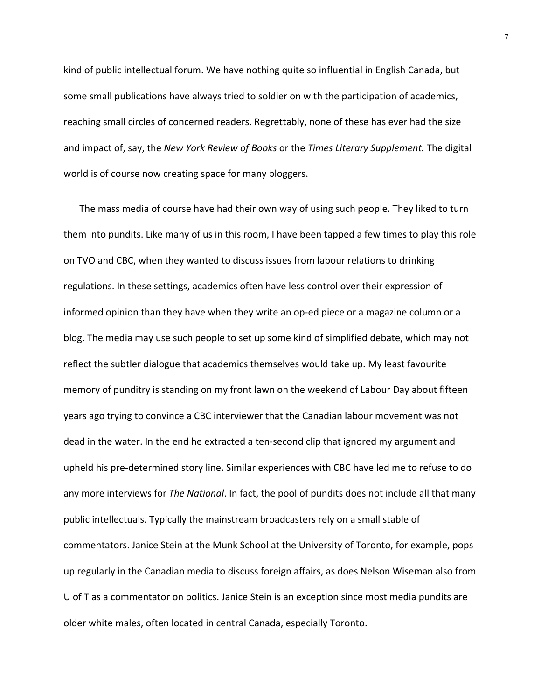kind of public intellectual forum. We have nothing quite so influential in English Canada, but some small publications have always tried to soldier on with the participation of academics, reaching small circles of concerned readers. Regrettably, none of these has ever had the size and impact of, say, the *New York Review of Books* or the *Times Literary Supplement.* The digital world is of course now creating space for many bloggers.

The mass media of course have had their own way of using such people. They liked to turn them into pundits. Like many of us in this room, I have been tapped a few times to play this role on TVO and CBC, when they wanted to discuss issues from labour relations to drinking regulations. In these settings, academics often have less control over their expression of informed opinion than they have when they write an op‐ed piece or a magazine column or a blog. The media may use such people to set up some kind of simplified debate, which may not reflect the subtler dialogue that academics themselves would take up. My least favourite memory of punditry is standing on my front lawn on the weekend of Labour Day about fifteen years ago trying to convince a CBC interviewer that the Canadian labour movement was not dead in the water. In the end he extracted a ten‐second clip that ignored my argument and upheld his pre‐determined story line. Similar experiences with CBC have led me to refuse to do any more interviews for *The National*. In fact, the pool of pundits does not include all that many public intellectuals. Typically the mainstream broadcasters rely on a small stable of commentators. Janice Stein at the Munk School at the University of Toronto, for example, pops up regularly in the Canadian media to discuss foreign affairs, as does Nelson Wiseman also from U of T as a commentator on politics. Janice Stein is an exception since most media pundits are older white males, often located in central Canada, especially Toronto.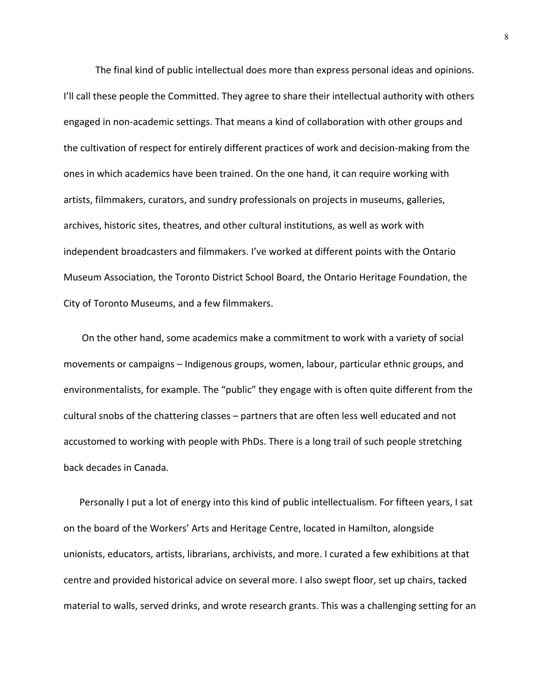The final kind of public intellectual does more than express personal ideas and opinions. I'll call these people the Committed. They agree to share their intellectual authority with others engaged in non‐academic settings. That means a kind of collaboration with other groups and the cultivation of respect for entirely different practices of work and decision‐making from the ones in which academics have been trained. On the one hand, it can require working with artists, filmmakers, curators, and sundry professionals on projects in museums, galleries, archives, historic sites, theatres, and other cultural institutions, as well as work with independent broadcasters and filmmakers. I've worked at different points with the Ontario Museum Association, the Toronto District School Board, the Ontario Heritage Foundation, the City of Toronto Museums, and a few filmmakers.

On the other hand, some academics make a commitment to work with a variety of social movements or campaigns – Indigenous groups, women, labour, particular ethnic groups, and environmentalists, for example. The "public" they engage with is often quite different from the cultural snobs of the chattering classes – partners that are often less well educated and not accustomed to working with people with PhDs. There is a long trail of such people stretching back decades in Canada.

Personally I put a lot of energy into this kind of public intellectualism. For fifteen years, I sat on the board of the Workers' Arts and Heritage Centre, located in Hamilton, alongside unionists, educators, artists, librarians, archivists, and more. I curated a few exhibitions at that centre and provided historical advice on several more. I also swept floor, set up chairs, tacked material to walls, served drinks, and wrote research grants. This was a challenging setting for an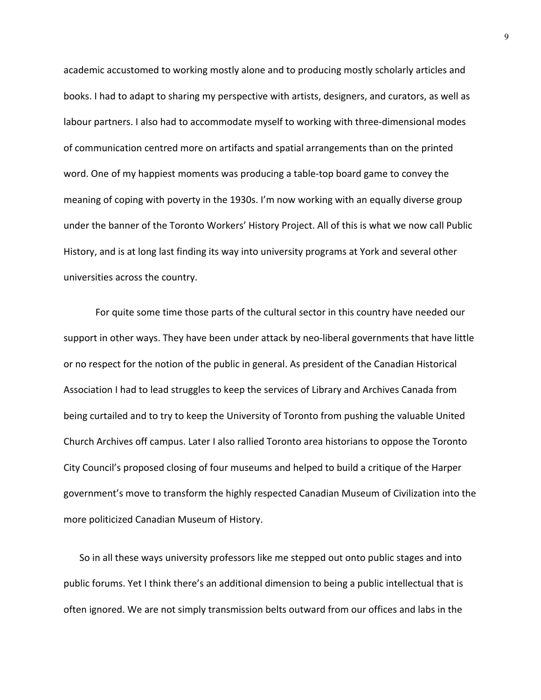academic accustomed to working mostly alone and to producing mostly scholarly articles and books. I had to adapt to sharing my perspective with artists, designers, and curators, as well as labour partners. I also had to accommodate myself to working with three-dimensional modes of communication centred more on artifacts and spatial arrangements than on the printed word. One of my happiest moments was producing a table‐top board game to convey the meaning of coping with poverty in the 1930s. I'm now working with an equally diverse group under the banner of the Toronto Workers' History Project. All of this is what we now call Public History, and is at long last finding its way into university programs at York and several other universities across the country.

For quite some time those parts of the cultural sector in this country have needed our support in other ways. They have been under attack by neo-liberal governments that have little or no respect for the notion of the public in general. As president of the Canadian Historical Association I had to lead struggles to keep the services of Library and Archives Canada from being curtailed and to try to keep the University of Toronto from pushing the valuable United Church Archives off campus. Later I also rallied Toronto area historians to oppose the Toronto City Council's proposed closing of four museums and helped to build a critique of the Harper government's move to transform the highly respected Canadian Museum of Civilization into the more politicized Canadian Museum of History.

So in all these ways university professors like me stepped out onto public stages and into public forums. Yet I think there's an additional dimension to being a public intellectual that is often ignored. We are not simply transmission belts outward from our offices and labs in the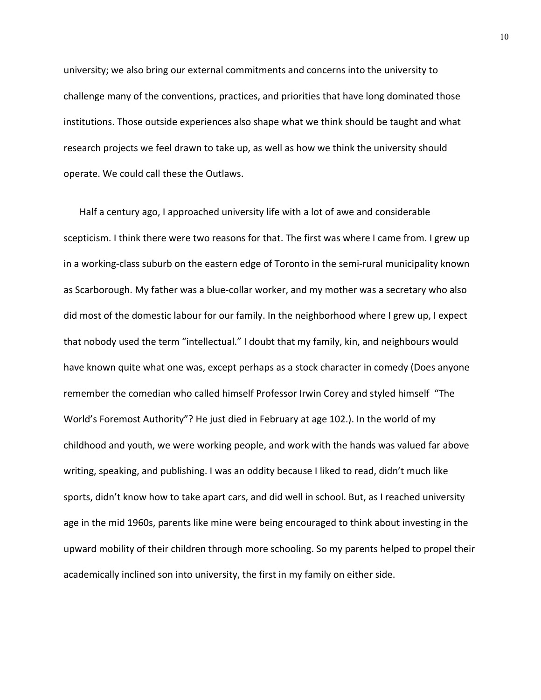university; we also bring our external commitments and concerns into the university to challenge many of the conventions, practices, and priorities that have long dominated those institutions. Those outside experiences also shape what we think should be taught and what research projects we feel drawn to take up, as well as how we think the university should operate. We could call these the Outlaws.

Half a century ago, I approached university life with a lot of awe and considerable scepticism. I think there were two reasons for that. The first was where I came from. I grew up in a working-class suburb on the eastern edge of Toronto in the semi-rural municipality known as Scarborough. My father was a blue‐collar worker, and my mother was a secretary who also did most of the domestic labour for our family. In the neighborhood where I grew up, I expect that nobody used the term "intellectual." I doubt that my family, kin, and neighbours would have known quite what one was, except perhaps as a stock character in comedy (Does anyone remember the comedian who called himself Professor Irwin Corey and styled himself "The World's Foremost Authority"? He just died in February at age 102.). In the world of my childhood and youth, we were working people, and work with the hands was valued far above writing, speaking, and publishing. I was an oddity because I liked to read, didn't much like sports, didn't know how to take apart cars, and did well in school. But, as I reached university age in the mid 1960s, parents like mine were being encouraged to think about investing in the upward mobility of their children through more schooling. So my parents helped to propel their academically inclined son into university, the first in my family on either side.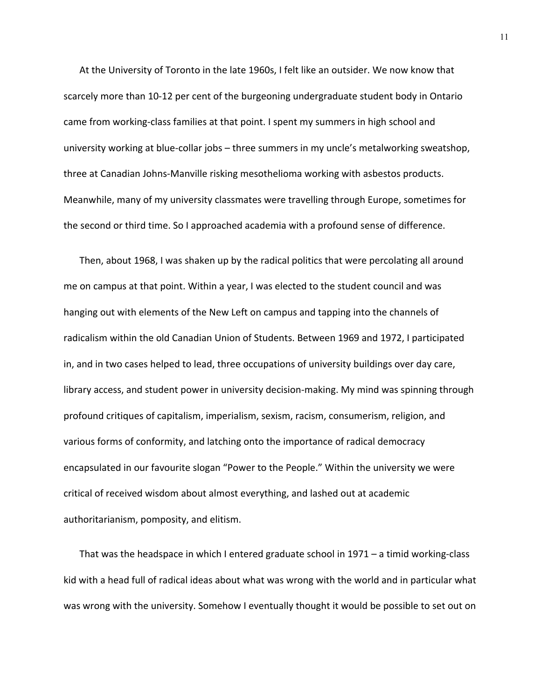At the University of Toronto in the late 1960s, I felt like an outsider. We now know that scarcely more than 10‐12 per cent of the burgeoning undergraduate student body in Ontario came from working‐class families at that point. I spent my summers in high school and university working at blue‐collar jobs – three summers in my uncle's metalworking sweatshop, three at Canadian Johns‐Manville risking mesothelioma working with asbestos products. Meanwhile, many of my university classmates were travelling through Europe, sometimes for the second or third time. So I approached academia with a profound sense of difference.

Then, about 1968, I was shaken up by the radical politics that were percolating all around me on campus at that point. Within a year, I was elected to the student council and was hanging out with elements of the New Left on campus and tapping into the channels of radicalism within the old Canadian Union of Students. Between 1969 and 1972, I participated in, and in two cases helped to lead, three occupations of university buildings over day care, library access, and student power in university decision-making. My mind was spinning through profound critiques of capitalism, imperialism, sexism, racism, consumerism, religion, and various forms of conformity, and latching onto the importance of radical democracy encapsulated in our favourite slogan "Power to the People." Within the university we were critical of received wisdom about almost everything, and lashed out at academic authoritarianism, pomposity, and elitism.

That was the headspace in which I entered graduate school in 1971 – a timid working‐class kid with a head full of radical ideas about what was wrong with the world and in particular what was wrong with the university. Somehow I eventually thought it would be possible to set out on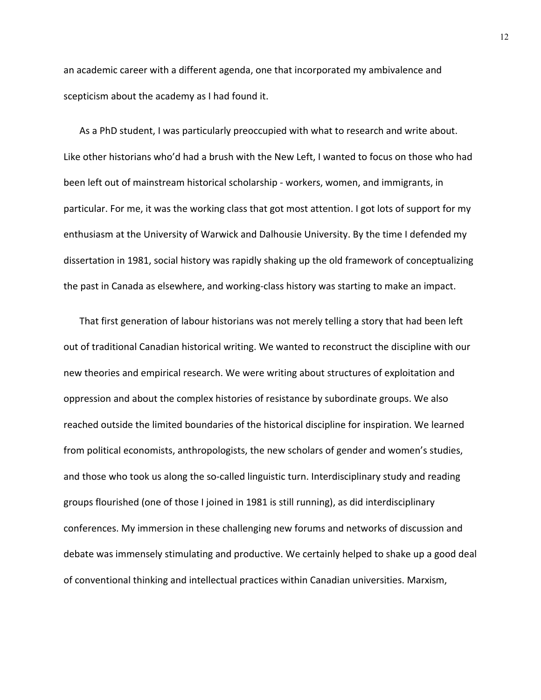an academic career with a different agenda, one that incorporated my ambivalence and scepticism about the academy as I had found it.

As a PhD student, I was particularly preoccupied with what to research and write about. Like other historians who'd had a brush with the New Left, I wanted to focus on those who had been left out of mainstream historical scholarship ‐ workers, women, and immigrants, in particular. For me, it was the working class that got most attention. I got lots of support for my enthusiasm at the University of Warwick and Dalhousie University. By the time I defended my dissertation in 1981, social history was rapidly shaking up the old framework of conceptualizing the past in Canada as elsewhere, and working‐class history was starting to make an impact.

That first generation of labour historians was not merely telling a story that had been left out of traditional Canadian historical writing. We wanted to reconstruct the discipline with our new theories and empirical research. We were writing about structures of exploitation and oppression and about the complex histories of resistance by subordinate groups. We also reached outside the limited boundaries of the historical discipline for inspiration. We learned from political economists, anthropologists, the new scholars of gender and women's studies, and those who took us along the so-called linguistic turn. Interdisciplinary study and reading groups flourished (one of those I joined in 1981 is still running), as did interdisciplinary conferences. My immersion in these challenging new forums and networks of discussion and debate was immensely stimulating and productive. We certainly helped to shake up a good deal of conventional thinking and intellectual practices within Canadian universities. Marxism,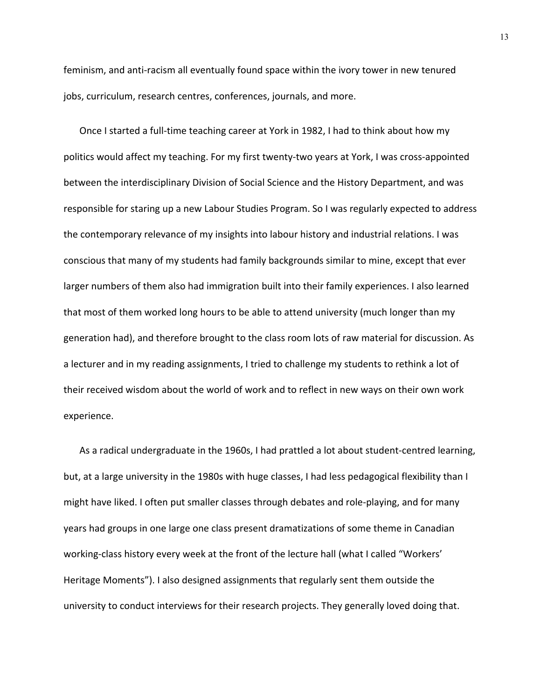feminism, and anti-racism all eventually found space within the ivory tower in new tenured jobs, curriculum, research centres, conferences, journals, and more.

Once I started a full-time teaching career at York in 1982, I had to think about how my politics would affect my teaching. For my first twenty-two years at York, I was cross-appointed between the interdisciplinary Division of Social Science and the History Department, and was responsible for staring up a new Labour Studies Program. So I was regularly expected to address the contemporary relevance of my insights into labour history and industrial relations. I was conscious that many of my students had family backgrounds similar to mine, except that ever larger numbers of them also had immigration built into their family experiences. I also learned that most of them worked long hours to be able to attend university (much longer than my generation had), and therefore brought to the class room lots of raw material for discussion. As a lecturer and in my reading assignments, I tried to challenge my students to rethink a lot of their received wisdom about the world of work and to reflect in new ways on their own work experience.

As a radical undergraduate in the 1960s, I had prattled a lot about student‐centred learning, but, at a large university in the 1980s with huge classes, I had less pedagogical flexibility than I might have liked. I often put smaller classes through debates and role‐playing, and for many years had groups in one large one class present dramatizations of some theme in Canadian working-class history every week at the front of the lecture hall (what I called "Workers' Heritage Moments"). I also designed assignments that regularly sent them outside the university to conduct interviews for their research projects. They generally loved doing that.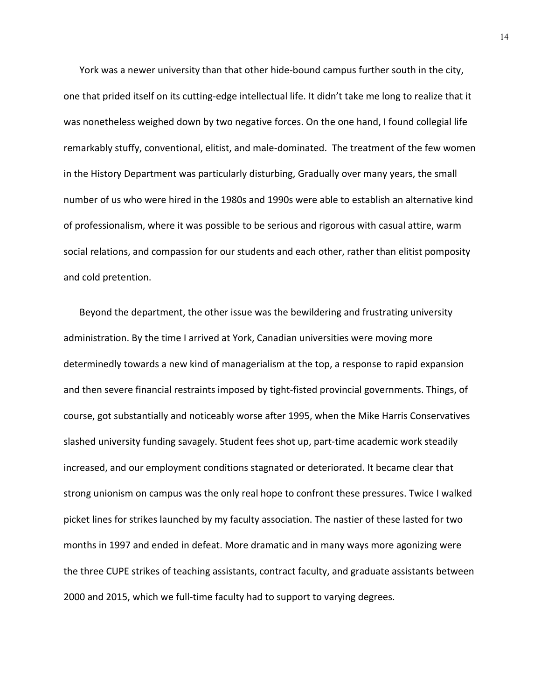York was a newer university than that other hide‐bound campus further south in the city, one that prided itself on its cutting‐edge intellectual life. It didn't take me long to realize that it was nonetheless weighed down by two negative forces. On the one hand, I found collegial life remarkably stuffy, conventional, elitist, and male‐dominated. The treatment of the few women in the History Department was particularly disturbing, Gradually over many years, the small number of us who were hired in the 1980s and 1990s were able to establish an alternative kind of professionalism, where it was possible to be serious and rigorous with casual attire, warm social relations, and compassion for our students and each other, rather than elitist pomposity and cold pretention.

Beyond the department, the other issue was the bewildering and frustrating university administration. By the time I arrived at York, Canadian universities were moving more determinedly towards a new kind of managerialism at the top, a response to rapid expansion and then severe financial restraints imposed by tight‐fisted provincial governments. Things, of course, got substantially and noticeably worse after 1995, when the Mike Harris Conservatives slashed university funding savagely. Student fees shot up, part-time academic work steadily increased, and our employment conditions stagnated or deteriorated. It became clear that strong unionism on campus was the only real hope to confront these pressures. Twice I walked picket lines for strikes launched by my faculty association. The nastier of these lasted for two months in 1997 and ended in defeat. More dramatic and in many ways more agonizing were the three CUPE strikes of teaching assistants, contract faculty, and graduate assistants between 2000 and 2015, which we full‐time faculty had to support to varying degrees.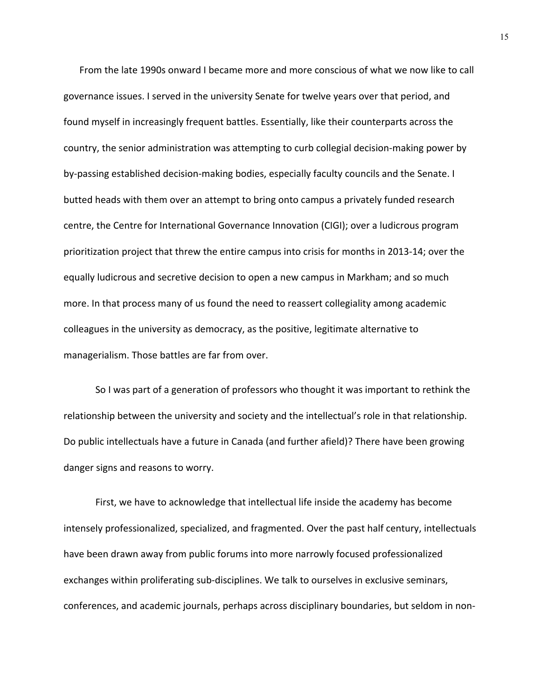From the late 1990s onward I became more and more conscious of what we now like to call governance issues. I served in the university Senate for twelve years over that period, and found myself in increasingly frequent battles. Essentially, like their counterparts across the country, the senior administration was attempting to curb collegial decision‐making power by by‐passing established decision‐making bodies, especially faculty councils and the Senate. I butted heads with them over an attempt to bring onto campus a privately funded research centre, the Centre for International Governance Innovation (CIGI); over a ludicrous program prioritization project that threw the entire campus into crisis for months in 2013‐14; over the equally ludicrous and secretive decision to open a new campus in Markham; and so much more. In that process many of us found the need to reassert collegiality among academic colleagues in the university as democracy, as the positive, legitimate alternative to managerialism. Those battles are far from over.

So I was part of a generation of professors who thought it was important to rethink the relationship between the university and society and the intellectual's role in that relationship. Do public intellectuals have a future in Canada (and further afield)? There have been growing danger signs and reasons to worry.

First, we have to acknowledge that intellectual life inside the academy has become intensely professionalized, specialized, and fragmented. Over the past half century, intellectuals have been drawn away from public forums into more narrowly focused professionalized exchanges within proliferating sub‐disciplines. We talk to ourselves in exclusive seminars, conferences, and academic journals, perhaps across disciplinary boundaries, but seldom in non‐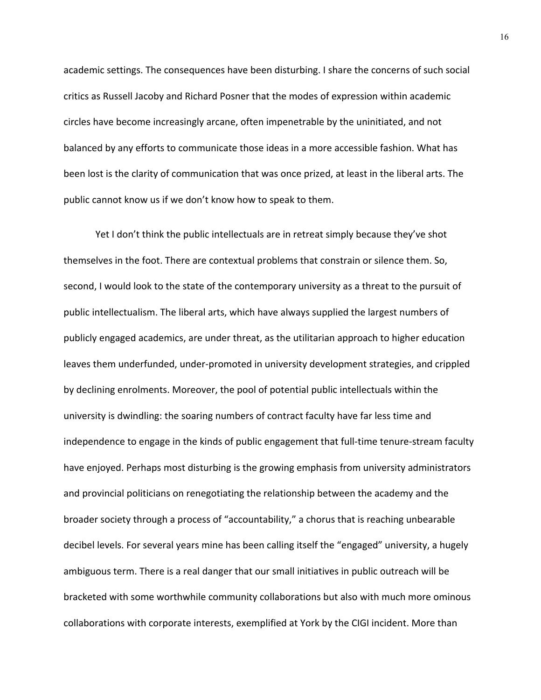academic settings. The consequences have been disturbing. I share the concerns of such social critics as Russell Jacoby and Richard Posner that the modes of expression within academic circles have become increasingly arcane, often impenetrable by the uninitiated, and not balanced by any efforts to communicate those ideas in a more accessible fashion. What has been lost is the clarity of communication that was once prized, at least in the liberal arts. The public cannot know us if we don't know how to speak to them.

Yet I don't think the public intellectuals are in retreat simply because they've shot themselves in the foot. There are contextual problems that constrain or silence them. So, second, I would look to the state of the contemporary university as a threat to the pursuit of public intellectualism. The liberal arts, which have always supplied the largest numbers of publicly engaged academics, are under threat, as the utilitarian approach to higher education leaves them underfunded, under‐promoted in university development strategies, and crippled by declining enrolments. Moreover, the pool of potential public intellectuals within the university is dwindling: the soaring numbers of contract faculty have far less time and independence to engage in the kinds of public engagement that full‐time tenure‐stream faculty have enjoyed. Perhaps most disturbing is the growing emphasis from university administrators and provincial politicians on renegotiating the relationship between the academy and the broader society through a process of "accountability," a chorus that is reaching unbearable decibel levels. For several years mine has been calling itself the "engaged" university, a hugely ambiguous term. There is a real danger that our small initiatives in public outreach will be bracketed with some worthwhile community collaborations but also with much more ominous collaborations with corporate interests, exemplified at York by the CIGI incident. More than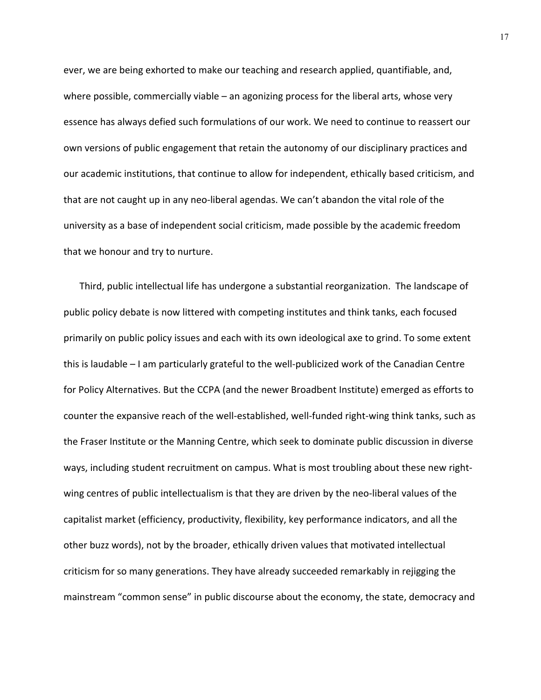ever, we are being exhorted to make our teaching and research applied, quantifiable, and, where possible, commercially viable – an agonizing process for the liberal arts, whose very essence has always defied such formulations of our work. We need to continue to reassert our own versions of public engagement that retain the autonomy of our disciplinary practices and our academic institutions, that continue to allow for independent, ethically based criticism, and that are not caught up in any neo‐liberal agendas. We can't abandon the vital role of the university as a base of independent social criticism, made possible by the academic freedom that we honour and try to nurture.

Third, public intellectual life has undergone a substantial reorganization. The landscape of public policy debate is now littered with competing institutes and think tanks, each focused primarily on public policy issues and each with its own ideological axe to grind. To some extent this is laudable – I am particularly grateful to the well‐publicized work of the Canadian Centre for Policy Alternatives. But the CCPA (and the newer Broadbent Institute) emerged as efforts to counter the expansive reach of the well‐established, well‐funded right‐wing think tanks, such as the Fraser Institute or the Manning Centre, which seek to dominate public discussion in diverse ways, including student recruitment on campus. What is most troubling about these new rightwing centres of public intellectualism is that they are driven by the neo-liberal values of the capitalist market (efficiency, productivity, flexibility, key performance indicators, and all the other buzz words), not by the broader, ethically driven values that motivated intellectual criticism for so many generations. They have already succeeded remarkably in rejigging the mainstream "common sense" in public discourse about the economy, the state, democracy and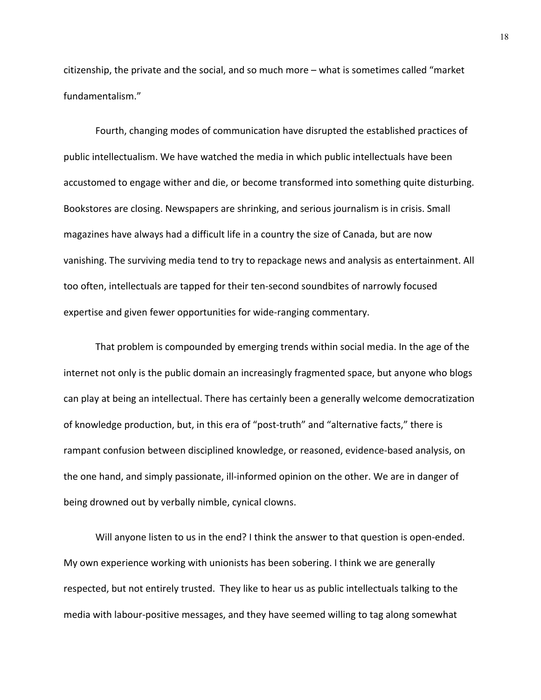citizenship, the private and the social, and so much more – what is sometimes called "market fundamentalism."

Fourth, changing modes of communication have disrupted the established practices of public intellectualism. We have watched the media in which public intellectuals have been accustomed to engage wither and die, or become transformed into something quite disturbing. Bookstores are closing. Newspapers are shrinking, and serious journalism is in crisis. Small magazines have always had a difficult life in a country the size of Canada, but are now vanishing. The surviving media tend to try to repackage news and analysis as entertainment. All too often, intellectuals are tapped for their ten‐second soundbites of narrowly focused expertise and given fewer opportunities for wide‐ranging commentary.

That problem is compounded by emerging trends within social media. In the age of the internet not only is the public domain an increasingly fragmented space, but anyone who blogs can play at being an intellectual. There has certainly been a generally welcome democratization of knowledge production, but, in this era of "post‐truth" and "alternative facts," there is rampant confusion between disciplined knowledge, or reasoned, evidence-based analysis, on the one hand, and simply passionate, ill-informed opinion on the other. We are in danger of being drowned out by verbally nimble, cynical clowns.

Will anyone listen to us in the end? I think the answer to that question is open-ended. My own experience working with unionists has been sobering. I think we are generally respected, but not entirely trusted. They like to hear us as public intellectuals talking to the media with labour‐positive messages, and they have seemed willing to tag along somewhat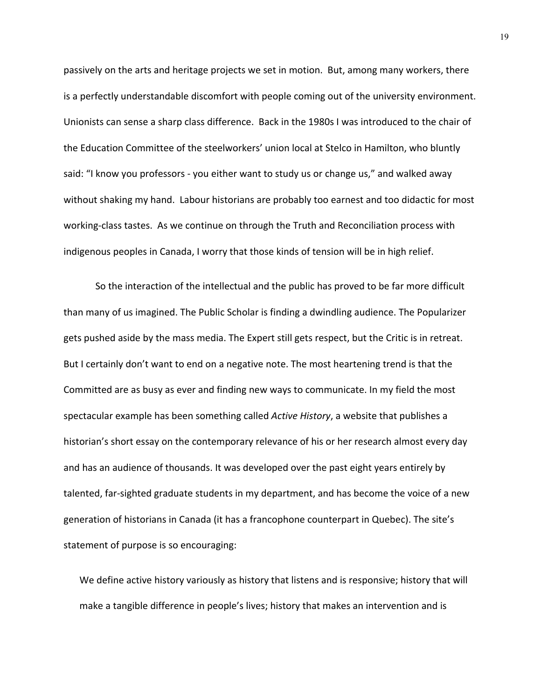passively on the arts and heritage projects we set in motion. But, among many workers, there is a perfectly understandable discomfort with people coming out of the university environment. Unionists can sense a sharp class difference. Back in the 1980s I was introduced to the chair of the Education Committee of the steelworkers' union local at Stelco in Hamilton, who bluntly said: "I know you professors ‐ you either want to study us or change us," and walked away without shaking my hand. Labour historians are probably too earnest and too didactic for most working‐class tastes. As we continue on through the Truth and Reconciliation process with indigenous peoples in Canada, I worry that those kinds of tension will be in high relief.

So the interaction of the intellectual and the public has proved to be far more difficult than many of us imagined. The Public Scholar is finding a dwindling audience. The Popularizer gets pushed aside by the mass media. The Expert still gets respect, but the Critic is in retreat. But I certainly don't want to end on a negative note. The most heartening trend is that the Committed are as busy as ever and finding new ways to communicate. In my field the most spectacular example has been something called *Active History*, a website that publishes a historian's short essay on the contemporary relevance of his or her research almost every day and has an audience of thousands. It was developed over the past eight years entirely by talented, far-sighted graduate students in my department, and has become the voice of a new generation of historians in Canada (it has a francophone counterpart in Quebec). The site's statement of purpose is so encouraging:

We define active history variously as history that listens and is responsive; history that will make a tangible difference in people's lives; history that makes an intervention and is